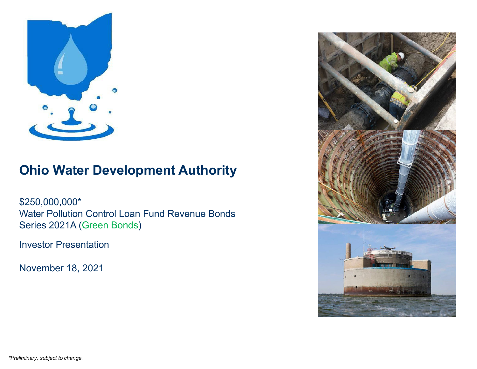

# **Ohio Water Development Authority**

\$250,000,000\* Water Pollution Control Loan Fund Revenue Bonds Series 2021A (Green Bonds)

Investor Presentation

November 18, 2021

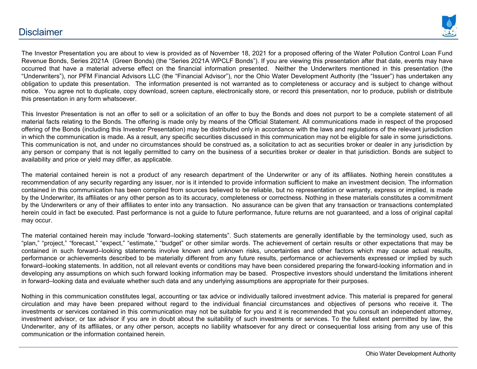

The Investor Presentation you are about to view is provided as of November 18, 2021 for <sup>a</sup> proposed offering of the Water Pollution Control Loan Fund Revenue Bonds, Series 2021A (Green Bonds) (the "Series 2021A WPCLF Bonds"). If you are viewing this presentation after that date, events may have occurred that have <sup>a</sup> material adverse effect on the financial information presented. Neither the Underwriters mentioned in this presentation (the "Underwriters"), nor PFM Financial Advisors LLC (the "Financial Advisor"), nor the Ohio Water Development Authority (the "Issuer") has undertaken any obligation to update this presentation. The information presented is not warranted as to completeness or accuracy and is subject to change without notice. You agree not to duplicate, copy download, screen capture, electronically store, or record this presentation, nor to produce, publish or distribute this presentation in any form whatsoever.

This Investor Presentation is not an offer to sell or <sup>a</sup> solicitation of an offer to buy the Bonds and does not purport to be <sup>a</sup> complete statement of all material facts relating to the Bonds. The offering is made only by means of the Official Statement. All communications made in respect of the proposed offering of the Bonds (including this Investor Presentation) may be distributed only in accordance with the laws and regulations of the relevant jurisdiction in which the communication is made. As <sup>a</sup> result, any specific securities discussed in this communication may not be eligible for sale in some jurisdictions. This communication is not, and under no circumstances should be construed as, <sup>a</sup> solicitation to act as securities broker or dealer in any jurisdiction by any person or company that is not legally permitted to carry on the business of <sup>a</sup> securities broker or dealer in that jurisdiction. Bonds are subject to availability and price or yield may differ, as applicable.

The material contained herein is not <sup>a</sup> product of any research department of the Underwriter or any of its affiliates. Nothing herein constitutes <sup>a</sup> recommendation of any security regarding any issuer, nor is it intended to provide information sufficient to make an investment decision. The information contained in this communication has been compiled from sources believed to be reliable, but no representation or warranty, express or implied, is made by the Underwriter, its affiliates or any other person as to its accuracy, completeness or correctness. Nothing in these materials constitutes <sup>a</sup> commitment by the Underwriters or any of their affiliates to enter into any transaction. No assurance can be given that any transaction or transactions contemplated herein could in fact be executed. Past performance is not <sup>a</sup> guide to future performance, future returns are not guaranteed, and <sup>a</sup> loss of original capital may occur.

The material contained herein may include "forward–looking statements". Such statements are generally identifiable by the terminology used, such as "plan," "project," "forecast," "expect," "estimate," "budget" or other similar words. The achievement of certain results or other expectations that may be contained in such forward–looking statements involve known and unknown risks, uncertainties and other factors which may cause actual results, performance or achievements described to be materially different from any future results, performance or achievements expressed or implied by such forward–looking statements. In addition, not all relevant events or conditions may have been considered preparing the forward-looking information and in developing any assumptions on which such forward looking information may be based. Prospective investors should understand the limitations inherent in forward–looking data and evaluate whether such data and any underlying assumptions are appropriate for their purposes.

Nothing in this communication constitutes legal, accounting or tax advice or individually tailored investment advice. This material is prepared for general circulation and may have been prepared without regard to the individual financial circumstances and objectives of persons who receive it. The investments or services contained in this communication may not be suitable for you and it is recommended that you consult an independent attorney, investment advisor, or tax advisor if you are in doubt about the suitability of such investments or services. To the fullest extent permitted by law, the Underwriter, any of its affiliates, or any other person, accepts no liability whatsoever for any direct or consequential loss arising from any use of this communication or the information contained herein.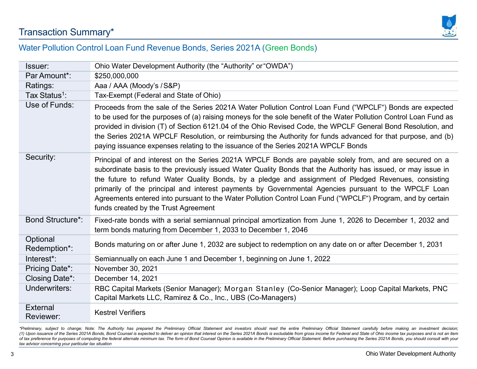### Transaction Summary\*



#### Water Pollution Control Loan Fund Revenue Bonds, Series 2021A (Green Bonds)

| <b>Issuer:</b>            | Ohio Water Development Authority (the "Authority" or "OWDA")                                                                                                                                                                                                                                                                                                                                                                                                                                                                                                                                    |
|---------------------------|-------------------------------------------------------------------------------------------------------------------------------------------------------------------------------------------------------------------------------------------------------------------------------------------------------------------------------------------------------------------------------------------------------------------------------------------------------------------------------------------------------------------------------------------------------------------------------------------------|
| Par Amount*:              | \$250,000,000                                                                                                                                                                                                                                                                                                                                                                                                                                                                                                                                                                                   |
| Ratings:                  | Aaa / AAA (Moody's / S&P)                                                                                                                                                                                                                                                                                                                                                                                                                                                                                                                                                                       |
| Tax Status <sup>1</sup> : | Tax-Exempt (Federal and State of Ohio)                                                                                                                                                                                                                                                                                                                                                                                                                                                                                                                                                          |
| Use of Funds:             | Proceeds from the sale of the Series 2021A Water Pollution Control Loan Fund ("WPCLF") Bonds are expected<br>to be used for the purposes of (a) raising moneys for the sole benefit of the Water Pollution Control Loan Fund as<br>provided in division (T) of Section 6121.04 of the Ohio Revised Code, the WPCLF General Bond Resolution, and<br>the Series 2021A WPCLF Resolution, or reimbursing the Authority for funds advanced for that purpose, and (b)<br>paying issuance expenses relating to the issuance of the Series 2021A WPCLF Bonds                                            |
| Security:                 | Principal of and interest on the Series 2021A WPCLF Bonds are payable solely from, and are secured on a<br>subordinate basis to the previously issued Water Quality Bonds that the Authority has issued, or may issue in<br>the future to refund Water Quality Bonds, by a pledge and assignment of Pledged Revenues, consisting<br>primarily of the principal and interest payments by Governmental Agencies pursuant to the WPCLF Loan<br>Agreements entered into pursuant to the Water Pollution Control Loan Fund ("WPCLF") Program, and by certain<br>funds created by the Trust Agreement |
| <b>Bond Structure*:</b>   | Fixed-rate bonds with a serial semiannual principal amortization from June 1, 2026 to December 1, 2032 and<br>term bonds maturing from December 1, 2033 to December 1, 2046                                                                                                                                                                                                                                                                                                                                                                                                                     |
| Optional<br>Redemption*:  | Bonds maturing on or after June 1, 2032 are subject to redemption on any date on or after December 1, 2031                                                                                                                                                                                                                                                                                                                                                                                                                                                                                      |
| Interest*:                | Semiannually on each June 1 and December 1, beginning on June 1, 2022                                                                                                                                                                                                                                                                                                                                                                                                                                                                                                                           |
| Pricing Date*:            | November 30, 2021                                                                                                                                                                                                                                                                                                                                                                                                                                                                                                                                                                               |
| Closing Date*:            | December 14, 2021                                                                                                                                                                                                                                                                                                                                                                                                                                                                                                                                                                               |
| Underwriters:             | RBC Capital Markets (Senior Manager); Morgan Stanley (Co-Senior Manager); Loop Capital Markets, PNC<br>Capital Markets LLC, Ramirez & Co., Inc., UBS (Co-Managers)                                                                                                                                                                                                                                                                                                                                                                                                                              |
| External<br>Reviewer:     | <b>Kestrel Verifiers</b>                                                                                                                                                                                                                                                                                                                                                                                                                                                                                                                                                                        |

\*Preliminary, subject to change; Note: The Authority has prepared the Preliminary Official Statement and investors should read the entire Preliminary Official Statement carefully before making an investment decision; (1) Upon issuance of the Series 2021A Bonds, Bond Counsel is expected to deliver an opinion that interest on the Series 2021A Bonds is excludable from gross income for Federal and State of Ohio income tax purposes and is n of tax preference for purposes of computing the federal alternate minimum tax. The form of Bond Counsel Opinion is available in the Preliminary Official Statement. Before purchasing the Series 2021A Bonds, you should consu *tax advisor concerning your particular tax situation*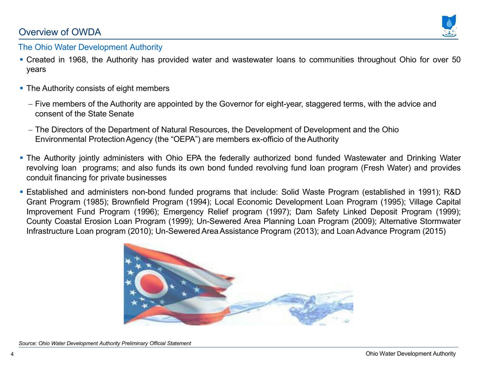### Overview of OWDA



#### The Ohio Water Development Authority

- Created in 1968, the Authority has provided water and wastewater loans to communities throughout Ohio for over 50 years
- The Authority consists of eight members
	- Five members of the Authority are appointed by the Governor for eight-year, staggered terms, with the advice and consent of the State Senate
	- The Directors of the Department of Natural Resources, the Development of Development and the Ohio Environmental ProtectionAgency (the "OEPA") are members ex-officio of the Authority
- The Authority jointly administers with Ohio EPA the federally authorized bond funded Wastewater and Drinking Water revolving loan programs; and also funds its own bond funded revolving fund loan program (Fresh Water) and provides conduit financing for private businesses
- Established and administers non-bond funded programs that include: Solid Waste Program (established in 1991); R&D Grant Program (1985); Brownfield Program (1994); Local Economic Development Loan Program (1995); Village Capital Improvement Fund Program (1996); Emergency Relief program (1997); Dam Safety Linked Deposit Program (1999); County Coastal Erosion Loan Program (1999); Un-Sewered Area Planning Loan Program (2009); Alternative Stormwater Infrastructure Loan program (2010); Un-Sewered AreaAssistance Program (2013); and Loan Advance Program (2015)

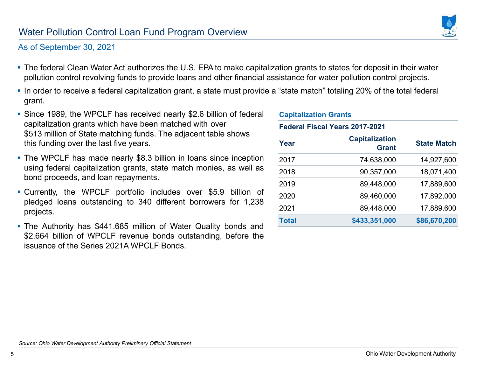5

#### As of September 30, 2021

- The federal Clean Water Act authorizes the U.S. EPA to make capitalization grants to states for deposit in their water pollution control revolving funds to provide loans and other financial assistance for water pollution control projects.
- $\bullet$  In order to receive a federal capitalization grant, a state must provide a "state match" totaling 20% of the total federal grant.
- Since 1989, the WPCLF has received nearly \$2.6 billion of federal capitalization grants which have been matched with over \$513 million of State matching funds. The adjacent table shows this funding over the last five years.
- The WPCLF has made nearly \$8.3 billion in loans since inception using federal capitalization grants, state match monies, as well as bond proceeds, and loan repayments.
- Currently, the WPCLF portfolio includes over \$5.9 billion of pledged loans outstanding to 340 different borrowers for 1,238 projects.
- The Authority has \$441.685 million of Water Quality bonds and \$2.664 billion of WPCLF revenue bonds outstanding, before the issuance of the Series 2021A WPCLF Bonds.

| <b>Capitalization Grants</b>   |                                       |                    |  |  |
|--------------------------------|---------------------------------------|--------------------|--|--|
| Federal Fiscal Years 2017-2021 |                                       |                    |  |  |
| Year                           | <b>Capitalization</b><br><b>Grant</b> | <b>State Match</b> |  |  |
| 2017                           | 74,638,000                            | 14,927,600         |  |  |
| 2018                           | 90,357,000                            | 18,071,400         |  |  |
| 2019                           | 89,448,000                            | 17,889,600         |  |  |
| 2020                           | 89,460,000                            | 17,892,000         |  |  |
| 2021                           | 89,448,000                            | 17,889,600         |  |  |
| <b>Total</b>                   | \$433,351,000                         | \$86,670,200       |  |  |

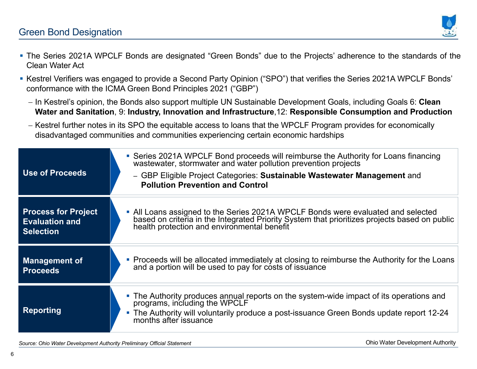

- The Series 2021A WPCLF Bonds are designated "Green Bonds" due to the Projects' adherence to the standards of the Clean Water Act
- Kestrel Verifiers was engaged to provide a Second Party Opinion ("SPO") that verifies the Series 2021A WPCLF Bonds' conformance with the ICMA Green Bond Principles 2021 ("GBP")
	- In Kestrel's opinion, the Bonds also support multiple UN Sustainable Development Goals, including Goals 6: **Clean Water and Sanitation**, 9: **Industry, Innovation and Infrastructure**,12: **Responsible Consumption and Production**
	- Kestrel further notes in its SPO the equitable access to loans that the WPCLF Program provides for economically disadvantaged communities and communities experiencing certain economic hardships

| <b>Use of Proceeds</b>                                                  | • Series 2021A WPCLF Bond proceeds will reimburse the Authority for Loans financing<br>wastewater, stormwater and water pollution prevention projects<br>- GBP Eligible Project Categories: Sustainable Wastewater Management and<br><b>Pollution Prevention and Control</b> |
|-------------------------------------------------------------------------|------------------------------------------------------------------------------------------------------------------------------------------------------------------------------------------------------------------------------------------------------------------------------|
| <b>Process for Project</b><br><b>Evaluation and</b><br><b>Selection</b> | • All Loans assigned to the Series 2021A WPCLF Bonds were evaluated and selected<br>based on criteria in the Integrated Priority System that prioritizes projects based on public<br>health protection and environmental benefit                                             |
| <b>Management of</b><br><b>Proceeds</b>                                 | • Proceeds will be allocated immediately at closing to reimburse the Authority for the Loans and a portion will be used to pay for costs of issuance                                                                                                                         |
| <b>Reporting</b>                                                        | • The Authority produces annual reports on the system-wide impact of its operations and<br>programs, including the WPCLF<br>• The Authority will voluntarily produce a post-issuance Green Bonds update report 12-24<br>months after issuance                                |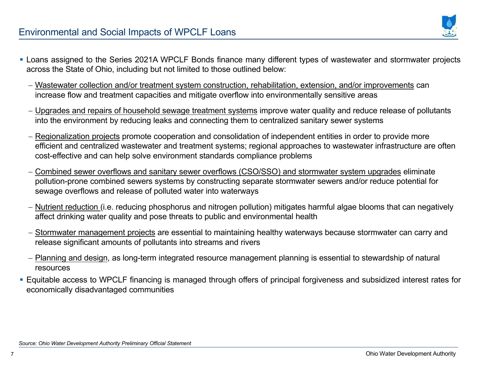

- Loans assigned to the Series 2021A WPCLF Bonds finance many different types of wastewater and stormwater projects across the State of Ohio, including but not limited to those outlined below:
	- <u>Wastewater collection and/or treatment system construction, rehabilitation, extension, and/or improvements</u> can increase flow and treatment capacities and mitigate overflow into environmentally sensitive areas
	- <u>Upgrades and repairs of household sewage treatment systems</u> improve water quality and reduce release of pollutants into the environment by reducing leaks and connecting them to centralized sanitary sewer systems
	- <u>Regionalization projects</u> promote cooperation and consolidation of independent entities in order to provide more efficient and centralized wastewater and treatment systems; regional approaches to wastewater infrastructure are often cost-effective and can help solve environment standards compliance problems
	- <u>Combined sewer overflows and sanitary sewer overflows (CSO/SSO) and stormwater system upgrades</u> eliminate pollution-prone combined sewers systems by constructing separate stormwater sewers and/or reduce potential for sewage overflows and release of polluted water into waterways
	- <u>Nutrient reduction (</u>i.e. reducing phosphorus and nitrogen pollution) mitigates harmful algae blooms that can negatively affect drinking water quality and pose threats to public and environmental health
	- <u>Stormwater management projects</u> are essential to maintaining healthy waterways because stormwater can carry and release significant amounts of pollutants into streams and rivers
	- <u>Planning and design,</u> as long-term integrated resource management planning is essential to stewardship of natural resources
- Equitable access to WPCLF financing is managed through offers of principal forgiveness and subsidized interest rates for economically disadvantaged communities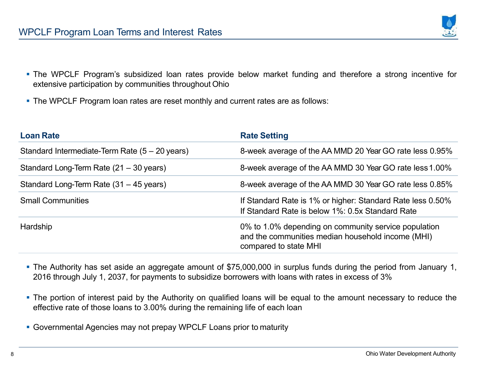

- The WPCLF Program's subsidized loan rates provide below market funding and therefore <sup>a</sup> strong incentive for extensive participation by communities throughout Ohio
- The WPCLF Program loan rates are reset monthly and current rates are as follows:

| <b>Loan Rate</b>                                          | <b>Rate Setting</b>                                                                                                                |
|-----------------------------------------------------------|------------------------------------------------------------------------------------------------------------------------------------|
| Standard Intermediate-Term Rate $(5 - 20 \,\text{years})$ | 8-week average of the AA MMD 20 Year GO rate less 0.95%                                                                            |
| Standard Long-Term Rate (21 – 30 years)                   | 8-week average of the AA MMD 30 Year GO rate less 1.00%                                                                            |
| Standard Long-Term Rate (31 – 45 years)                   | 8-week average of the AA MMD 30 Year GO rate less 0.85%                                                                            |
| <b>Small Communities</b>                                  | If Standard Rate is 1% or higher: Standard Rate less 0.50%<br>If Standard Rate is below 1%: 0.5x Standard Rate                     |
| Hardship                                                  | 0% to 1.0% depending on community service population<br>and the communities median household income (MHI)<br>compared to state MHI |

- The Authority has set aside an aggregate amount of \$75,000,000 in surplus funds during the period from January 1, 2016 through July 1, 2037, for payments to subsidize borrowers with loans with rates in excess of 3%
- The portion of interest paid by the Authority on qualified loans will be equal to the amount necessary to reduce the effective rate of those loans to 3.00% during the remaining life of each loan
- Governmental Agencies may not prepay WPCLF Loans prior to maturity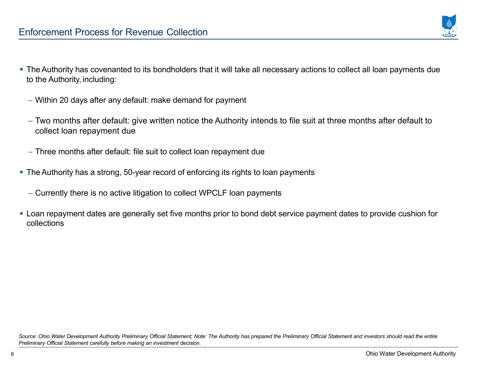

- The Authority has covenanted to its bondholders that it will take all necessary actions to collect all loan payments due to the Authority, including:
	- Within 20 days after any default: make demand for payment
	- Two months after default: give written notice the Authority intends to file suit at three months after default to collect loan repayment due
	- Three months after default: file suit to collect loan repayment due
- The Authority has <sup>a</sup> strong, 50-year record of enforcing its rights to loan payments
	- Currently there is no active litigation to collect WPCLF loan payments
- Loan repayment dates are generally set five months prior to bond debt service payment dates to provide cushion for collections

Source: Ohio Water Development Authority Preliminary Official Statement; Note: The Authority has prepared the Preliminary Official Statement and investors should read the entire *Preliminary Official Statement carefully before making an investment decision.*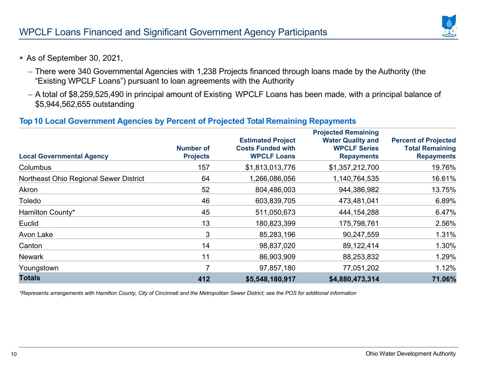- As of September 30, 2021,
	- There were 340 Governmental Agencies with 1,238 Projects financed through loans made by the Authority (the "Existing WPCLF Loans") pursuant to loan agreements with the Authority
	- A total of \$8,259,525,490 in principal amount of Existing WPCLF Loans has been made, with a principal balance of \$5,944,562,655 outstanding

#### **Top 10 Local Government Agencies by Percent of Projected Total Remaining Repayments**

| <b>Local Governmental Agency</b>       | <b>Number of</b><br><b>Projects</b> | <b>Estimated Project</b><br><b>Costs Funded with</b><br><b>WPCLF Loans</b> | <b>Projected Remaining</b><br><b>Water Quality and</b><br><b>WPCLF Series</b><br><b>Repayments</b> | <b>Percent of Projected</b><br><b>Total Remaining</b><br><b>Repayments</b> |
|----------------------------------------|-------------------------------------|----------------------------------------------------------------------------|----------------------------------------------------------------------------------------------------|----------------------------------------------------------------------------|
| <b>Columbus</b>                        | 157                                 | \$1,813,013,776                                                            | \$1,357,212,700                                                                                    | 19.76%                                                                     |
| Northeast Ohio Regional Sewer District | 64                                  | 1,266,086,056                                                              | 1,140,764,535                                                                                      | 16.61%                                                                     |
| Akron                                  | 52                                  | 804,486,003                                                                | 944,386,982                                                                                        | 13.75%                                                                     |
| Toledo                                 | 46                                  | 603,839,705                                                                | 473,481,041                                                                                        | 6.89%                                                                      |
| Hamilton County*                       | 45                                  | 511,050,673                                                                | 444, 154, 288                                                                                      | 6.47%                                                                      |
| Euclid                                 | 13                                  | 180,823,399                                                                | 175,798,761                                                                                        | 2.56%                                                                      |
| Avon Lake                              | 3                                   | 85,283,196                                                                 | 90,247,559                                                                                         | 1.31%                                                                      |
| Canton                                 | 14                                  | 98,837,020                                                                 | 89,122,414                                                                                         | 1.30%                                                                      |
| <b>Newark</b>                          | 11                                  | 86,903,909                                                                 | 88,253,832                                                                                         | 1.29%                                                                      |
| Youngstown                             | 7                                   | 97,857,180                                                                 | 77,051,202                                                                                         | 1.12%                                                                      |
| <b>Totals</b>                          | 412                                 | \$5,548,180,917                                                            | \$4,880,473,314                                                                                    | 71.06%                                                                     |

\*Represents arrangements with Hamilton County, City of Cincinnati and the Metropolitan Sewer District; see the POS for additional information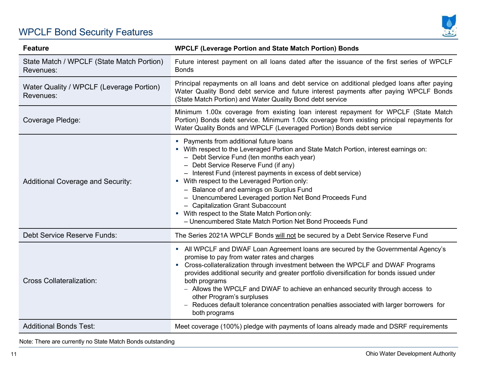# WPCLF Bond Security Features



| <b>Feature</b>                                         | <b>WPCLF (Leverage Portion and State Match Portion) Bonds</b>                                                                                                                                                                                                                                                                                                                                                                                                                                                                                                                                          |
|--------------------------------------------------------|--------------------------------------------------------------------------------------------------------------------------------------------------------------------------------------------------------------------------------------------------------------------------------------------------------------------------------------------------------------------------------------------------------------------------------------------------------------------------------------------------------------------------------------------------------------------------------------------------------|
| State Match / WPCLF (State Match Portion)<br>Revenues: | Future interest payment on all loans dated after the issuance of the first series of WPCLF<br><b>Bonds</b>                                                                                                                                                                                                                                                                                                                                                                                                                                                                                             |
| Water Quality / WPCLF (Leverage Portion)<br>Revenues:  | Principal repayments on all loans and debt service on additional pledged loans after paying<br>Water Quality Bond debt service and future interest payments after paying WPCLF Bonds<br>(State Match Portion) and Water Quality Bond debt service                                                                                                                                                                                                                                                                                                                                                      |
| Coverage Pledge:                                       | Minimum 1.00x coverage from existing loan interest repayment for WPCLF (State Match<br>Portion) Bonds debt service. Minimum 1.00x coverage from existing principal repayments for<br>Water Quality Bonds and WPCLF (Leveraged Portion) Bonds debt service                                                                                                                                                                                                                                                                                                                                              |
| <b>Additional Coverage and Security:</b>               | • Payments from additional future loans<br>• With respect to the Leveraged Portion and State Match Portion, interest earnings on:<br>- Debt Service Fund (ten months each year)<br>- Debt Service Reserve Fund (if any)<br>- Interest Fund (interest payments in excess of debt service)<br>• With respect to the Leveraged Portion only:<br>- Balance of and earnings on Surplus Fund<br>- Unencumbered Leveraged portion Net Bond Proceeds Fund<br>- Capitalization Grant Subaccount<br>• With respect to the State Match Portion only:<br>- Unencumbered State Match Portion Net Bond Proceeds Fund |
| <b>Debt Service Reserve Funds:</b>                     | The Series 2021A WPCLF Bonds will not be secured by a Debt Service Reserve Fund                                                                                                                                                                                                                                                                                                                                                                                                                                                                                                                        |
| <b>Cross Collateralization:</b>                        | - All WPCLF and DWAF Loan Agreement loans are secured by the Governmental Agency's<br>promise to pay from water rates and charges<br>Cross-collateralization through investment between the WPCLF and DWAF Programs<br>provides additional security and greater portfolio diversification for bonds issued under<br>both programs<br>- Allows the WPCLF and DWAF to achieve an enhanced security through access to<br>other Program's surpluses<br>- Reduces default tolerance concentration penalties associated with larger borrowers for<br>both programs                                           |
| <b>Additional Bonds Test:</b>                          | Meet coverage (100%) pledge with payments of loans already made and DSRF requirements                                                                                                                                                                                                                                                                                                                                                                                                                                                                                                                  |

Note: There are currently no State Match Bonds outstanding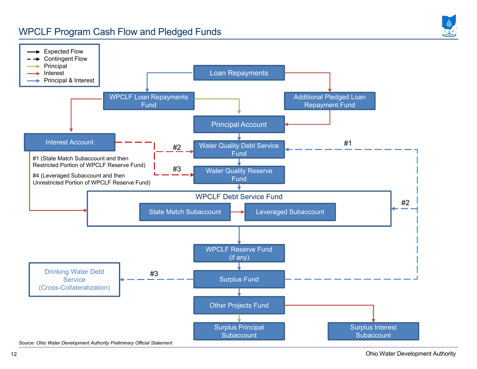### WPCLF Program Cash Flow and Pledged Funds

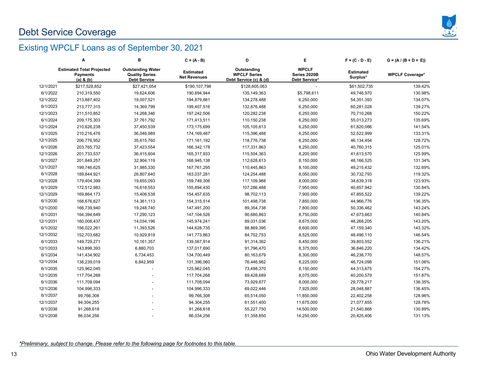# Debt Service Coverage



### Existing WPCLF Loans as of September 30, 2021

|           | Α                                                                    | В                                                                        | $C = (A - B)$                           | D                                                            | Е                                             | $F = (C - D - E)$            | $G = (A / (B + D + E))$ |
|-----------|----------------------------------------------------------------------|--------------------------------------------------------------------------|-----------------------------------------|--------------------------------------------------------------|-----------------------------------------------|------------------------------|-------------------------|
|           | <b>Estimated Total Projected</b><br><b>Payments</b><br>$(a)$ & $(b)$ | <b>Outstanding Water</b><br><b>Quality Series</b><br><b>Debt Service</b> | <b>Estimated</b><br><b>Net Revenues</b> | Outstanding<br><b>WPCLF Series</b><br>Debt Service (c) & (d) | <b>WPCLF</b><br>Series 2020B<br>Debt Service* | <b>Estimated</b><br>Surplus* | <b>WPCLF Coverage*</b>  |
| 12/1/2021 | \$217,528,852                                                        | \$27,421,054                                                             | \$190,107,798                           | \$128,605,063                                                |                                               | \$61,502,735                 | 139.42%                 |
| 6/1/2022  | 210,319,550                                                          | 19,624,606                                                               | 190,694,944                             | 135, 149, 363                                                | \$5,798,611                                   | 49,746,970                   | 130.98%                 |
| 12/1/2022 | 213,887,402                                                          | 19,007,521                                                               | 194,879,881                             | 134,278,488                                                  | 6,250,000                                     | 54,351,393                   | 134.07%                 |
| 6/1/2023  | 213,777,315                                                          | 14,369,799                                                               | 199,407,516                             | 132,876,488                                                  | 6,250,000                                     | 60,281,028                   | 139.27%                 |
| 12/1/2023 | 211,510,852                                                          | 14,268,346                                                               | 197,242,506                             | 120,282,238                                                  | 6,250,000                                     | 70,710,268                   | 150.22%                 |
| 6/1/2024  | 209,175,303                                                          | 37,761,792                                                               | 171,413,511                             | 110,150,238                                                  | 6,250,000                                     | 55,013,273                   | 135.69%                 |
| 12/1/2024 | 210,626,238                                                          | 37,450,539                                                               | 173,175,699                             | 105,105,613                                                  | 6,250,000                                     | 61,820,086                   | 141.54%                 |
| 6/1/2025  | 210,216,476                                                          | 36,046,989                                                               | 174,169,487                             | 115,396,488                                                  | 6,250,000                                     | 52,522,999                   | 133.31%                 |
| 12/1/2025 | 206,776,952                                                          | 35,615,760                                                               | 171, 161, 192                           | 118,776,738                                                  | 6,250,000                                     | 46,134,454                   | 128.72%                 |
| 6/1/2026  | 203,765,732                                                          | 37,423,554                                                               | 166,342,178                             | 117,331,863                                                  | 8,250,000                                     | 40,760,315                   | 125.01%                 |
| 12/1/2026 | 201,733,537                                                          | 36,415,604                                                               | 165,317,933                             | 115,504,363                                                  | 8,200,000                                     | 41,613,570                   | 125.99%                 |
| 6/1/2027  | 201,849,257                                                          | 32,904,119                                                               | 168,945,138                             | 112,628,613                                                  | 8,150,000                                     | 48,166,525                   | 131.34%                 |
| 12/1/2027 | 199,746,625                                                          | 31,985,330                                                               | 167,761,295                             | 110,445,863                                                  | 8,100,000                                     | 49,215,432                   | 132.69%                 |
| 6/1/2028  | 189,844,921                                                          | 26,807,640                                                               | 163,037,281                             | 124,254,488                                                  | 8,050,000                                     | 30,732,793                   | 119.32%                 |
| 12/1/2028 | 179,404,399                                                          | 19,655,093                                                               | 159,749,306                             | 117,109,988                                                  | 8,000,000                                     | 34,639,318                   | 123.93%                 |
| 6/1/2029  | 172,512,983                                                          | 16,618,553                                                               | 155,894,430                             | 107,286,488                                                  | 7,950,000                                     | 40,657,942                   | 130.84%                 |
| 12/1/2029 | 169,864,173                                                          | 15,406,538                                                               | 154,457,635                             | 98,702,113                                                   | 7,900,000                                     | 47,855,522                   | 139.22%                 |
| 6/1/2030  | 168,676,627                                                          | 14,361,113                                                               | 154,315,514                             | 101,498,738                                                  | 7,850,000                                     | 44,966,776                   | 136.35%                 |
| 12/1/2030 | 166,739,940                                                          | 19,248,740                                                               | 147,491,200                             | 89,354,738                                                   | 7,800,000                                     | 50,336,462                   | 143.24%                 |
| 6/1/2031  | 164,394,649                                                          | 17,290,123                                                               | 147,104,526                             | 90,680,863                                                   | 8,750,000                                     | 47,673,663                   | 140.84%                 |
| 12/1/2031 | 160,008,437                                                          | 14,034,196                                                               | 145,974,241                             | 89,031,036                                                   | 8,675,000                                     | 48,268,205                   | 143.20%                 |
| 6/1/2032  | 156,022,261                                                          | 11,393,526                                                               | 144,628,735                             | 88,869,395                                                   | 8,600,000                                     | 47,159,340                   | 143.32%                 |
| 12/1/2032 | 152,703,682                                                          | 10,929,819                                                               | 141,773,863                             | 84,752,753                                                   | 8,525,000                                     | 48,496,110                   | 146.54%                 |
| 6/1/2033  | 149,729,271                                                          | 10,161,357                                                               | 139,567,914                             | 91,314,362                                                   | 8,450,000                                     | 39,803,552                   | 136.21%                 |
| 12/1/2033 | 143,898,393                                                          | 6,880,703                                                                | 137,017,690                             | 91,796,470                                                   | 8,375,000                                     | 36,846,220                   | 134.42%                 |
| 6/1/2034  | 141,434,902                                                          | 6,734,453                                                                | 134,700,449                             | 80,163,679                                                   | 8,300,000                                     | 46,236,770                   | 148.57%                 |
| 12/1/2034 | 138,239,019                                                          | 6,842,959                                                                | 131,396,060                             | 76,446,962                                                   | 8,225,000                                     | 46,724,098                   | 151.06%                 |
| 6/1/2035  | 125,962,045                                                          |                                                                          | 125,962,045                             | 73,498,370                                                   | 8,150,000                                     | 44,313,675                   | 154.27%                 |
| 12/1/2035 | 117,704,268                                                          |                                                                          | 117,704,268                             | 69,428,689                                                   | 8,075,000                                     | 40,200,579                   | 151.87%                 |
| 6/1/2036  | 111,708,094                                                          |                                                                          | 111,708,094                             | 73,929,877                                                   | 8,000,000                                     | 29,778,217                   | 136.35%                 |
| 12/1/2036 | 104,996,333                                                          |                                                                          | 104,996,333                             | 69,022,446                                                   | 7,925,000                                     | 28,048,887                   | 136.45%                 |
| 6/1/2037  | 99,766,308                                                           |                                                                          | 99,766,308                              | 65,514,050                                                   | 11,850,000                                    | 22,402,258                   | 128.96%                 |
| 12/1/2037 | 94,304,255                                                           |                                                                          | 94,304,255                              | 61,551,400                                                   | 11,675,000                                    | 21,077,855                   | 128.78%                 |
| 6/1/2038  | 91,268,618                                                           |                                                                          | 91,268,618                              | 55,227,750                                                   | 14,500,000                                    | 21,540,868                   | 130.89%                 |
| 12/1/2038 | 86,034,256                                                           |                                                                          | 86,034,256                              | 51,358,850                                                   | 14,250,000                                    | 20,425,406                   | 131.13%                 |

*\*Preliminary, subject to change. Please refer to the following page for footnotes to this table.*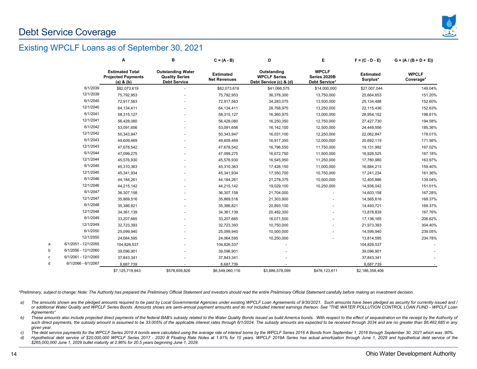

#### Existing WPCLF Loans as of September 30, 2021

|   |                      | Α                                                                    | в                                                                        | $C = (A - B)$                           | D                                                            | E.                                            | $F = (C - D - E)$            | $G = (A / (B + D + E))$   |
|---|----------------------|----------------------------------------------------------------------|--------------------------------------------------------------------------|-----------------------------------------|--------------------------------------------------------------|-----------------------------------------------|------------------------------|---------------------------|
|   |                      | <b>Estimated Total</b><br><b>Projected Payments</b><br>$(a)$ & $(b)$ | <b>Outstanding Water</b><br><b>Quality Series</b><br><b>Debt Service</b> | <b>Estimated</b><br><b>Net Revenues</b> | Outstanding<br><b>WPCLF Series</b><br>Debt Service (c) & (d) | <b>WPCLF</b><br>Series 2020B<br>Debt Service* | <b>Estimated</b><br>Surplus* | <b>WPCLF</b><br>Coverage* |
|   | 6/1/2039             | \$82,073,619                                                         |                                                                          | \$82,073,619                            | \$41,066,575                                                 | \$14,000,000                                  | \$27,007,044                 | 149.04%                   |
|   | 12/1/2039            | 75,792,953                                                           |                                                                          | 75,792,953                              | 36,378,300                                                   | 13,750,000                                    | 25,664,653                   | 151.20%                   |
|   | 6/1/2040             | 72,917,563                                                           |                                                                          | 72,917,563                              | 34,283,075                                                   | 13,500,000                                    | 25,134,488                   | 152.60%                   |
|   | 12/1/2040            | 64,134,411                                                           |                                                                          | 64, 134, 411                            | 28,768,975                                                   | 13,250,000                                    | 22,115,436                   | 152.63%                   |
|   | 6/1/2041             | 58,315,127                                                           |                                                                          | 58,315,127                              | 16,360,975                                                   | 13,000,000                                    | 28,954,152                   | 198.61%                   |
|   | 12/1/2041            | 56,428,080                                                           |                                                                          | 56,428,080                              | 16,250,350                                                   | 12,750,000                                    | 27,427,730                   | 194.58%                   |
|   | 6/1/2042             | 53,091,656                                                           |                                                                          | 53,091,656                              | 16,142,100                                                   | 12,500,000                                    | 24,449,556                   | 185.36%                   |
|   | 12/1/2042            | 50,343,947                                                           |                                                                          | 50,343,947                              | 16,031,100                                                   | 12,250,000                                    | 22,062,847                   | 178.01%                   |
|   | 6/1/2043             | 49,609,469                                                           |                                                                          | 49,609,469                              | 16,917,350                                                   | 12,000,000                                    | 20,692,119                   | 171.56%                   |
|   | 12/1/2043            | 47,678,542                                                           |                                                                          | 47,678,542                              | 16,796,550                                                   | 11,750,000                                    | 19,131,992                   | 167.02%                   |
|   | 6/1/2044             | 47,099,275                                                           |                                                                          | 47,099,275                              | 16,672,750                                                   | 11,500,000                                    | 18,926,525                   | 167.18%                   |
|   | 12/1/2044            | 45,576,930                                                           |                                                                          | 45,576,930                              | 16,545,950                                                   | 11,250,000                                    | 17,780,980                   | 163.97%                   |
|   | 6/1/2045             | 45,310,363                                                           |                                                                          | 45,310,363                              | 17,426,150                                                   | 11,000,000                                    | 16,884,213                   | 159.40%                   |
|   | 12/1/2045            | 45,341,934                                                           |                                                                          | 45,341,934                              | 17,350,700                                                   | 10,750,000                                    | 17,241,234                   | 161.36%                   |
|   | 6/1/2046             | 44,184,261                                                           |                                                                          | 44, 184, 261                            | 21,278,375                                                   | 10,500,000                                    | 12,405,886                   | 139.04%                   |
|   | 12/1/2046            | 44,215,142                                                           |                                                                          | 44,215,142                              | 19,029,100                                                   | 10,250,000                                    | 14,936,042                   | 151.01%                   |
|   | 6/1/2047             | 36,307,158                                                           |                                                                          | 36,307,158                              | 21,704,000                                                   |                                               | 14,603,158                   | 167.28%                   |
|   | 12/1/2047            | 35,869,516                                                           |                                                                          | 35,869,516                              | 21,303,900                                                   |                                               | 14,565,616                   | 168.37%                   |
|   | 6/1/2048             | 35,386,821                                                           |                                                                          | 35,386,821                              | 20,893,100                                                   |                                               | 14,493,721                   | 169.37%                   |
|   | 12/1/2048            | 34,361,139                                                           |                                                                          | 34,361,139                              | 20,482,300                                                   |                                               | 13,878,839                   | 167.76%                   |
|   | 6/1/2049             | 33,207,665                                                           |                                                                          | 33,207,665                              | 16,071,500                                                   |                                               | 17, 136, 165                 | 206.62%                   |
|   | 12/1/2049            | 32,723,393                                                           |                                                                          | 32,723,393                              | 10,750,000                                                   |                                               | 21,973,393                   | 304.40%                   |
|   | 6/1/2050             | 25,099,940                                                           |                                                                          | 25,099,940                              | 10,500,000                                                   |                                               | 14,599,940                   | 239.05%                   |
|   | 12/1/2050            | 24,064,595                                                           |                                                                          | 24,064,595                              | 10,250,000                                                   |                                               | 13,814,595                   | 234.78%                   |
| a | 6/1/2051 - 12/1/2055 | 104,826,537                                                          |                                                                          | 104,826,537                             |                                                              |                                               | 104,826,537                  |                           |
|   | 6/1/2056 - 12/1/2060 | 39,096,901                                                           |                                                                          | 39,096,901                              |                                                              |                                               | 39,096,901                   |                           |
| Ċ | 6/1/2061 - 12/1/2065 | 37,843,341                                                           |                                                                          | 37,843,341                              |                                                              |                                               | 37,843,341                   |                           |
| d | 6/1/2066 - 6/1/2067  | 8.687.739                                                            |                                                                          | 8,687,739                               |                                                              |                                               | 8,687,739                    |                           |
|   |                      | \$7,125,719,943                                                      | \$576,659,826                                                            | \$6,549,060,116                         | \$3,886,578,099                                              | \$476,123,611                                 | \$2,186,358,406              |                           |
|   |                      |                                                                      |                                                                          |                                         |                                                              |                                               |                              |                           |

\*Preliminary, subject to change; Note: The Authority has prepared the Preliminary Official Statement and investors should read the entire Preliminary Official Statement carefully before making an investment decision.

a) The amounts shown are the pledged amounts required to be paid by Local Governmental Agencies under existing WPCLF Loan Agreements of 9/30/2021. Such amounts have been pledged as security for currently issued and / or additional Water Quality and WPCLF Series Bonds. Amounts shows are semi-annual payment amounts and do not included interest earnings thereon. See "THE WATER POLLUTION CONTROL LOAN FUND - WPCLF Loan *Agreements"*

b) These amounts also include projected direct payments of the federal BAB's subsidy related to the Water Quality Bonds issued as build America bonds. With respect to the effect of sequestration on the receipt by the Autho such direct payments, the subsidy amount is assumed to be 33.005% of the applicable interest rates through 6/1/2024. The subsidy amounts are expected to be received through 2034 and are no greater than \$6,462,685 in any *given year.*

c) The debt service payments for the WPCLF Series 2016 A bonds were calculated using the average rate of interest borne by the WPCLF Series 2016 A Bonds from September 1, 2016 through September 30, 2021 which was .90%.

d) Hypothetical debt service of \$20,000,000 WPCLF Series 2017 - 2020 B Floating Rate Notes at 1.91% for 10 years. WPCLF 2019A Series has actual amortization through June 1, 2029 and hypothetical debt service of the \$265,000,000 June 1, 2029 bullet maturity at 2.86% for 20.5 years beginning June 1, 2029.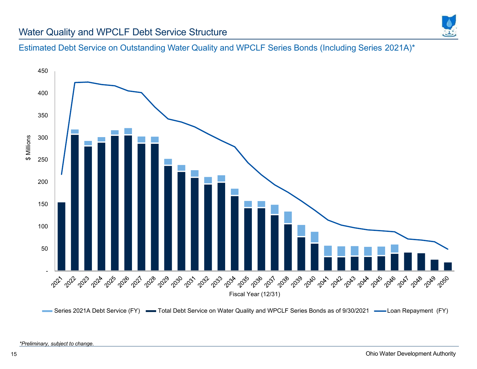

#### Water Quality and WPCLF Debt Service Structure

Estimated Debt Service on Outstanding Water Quality and WPCLF Series Bonds (Including Series 2021A)\*



Series 2021A Debt Service (FY) - Total Debt Service on Water Quality and WPCLF Series Bonds as of 9/30/2021 - Loan Repayment (FY)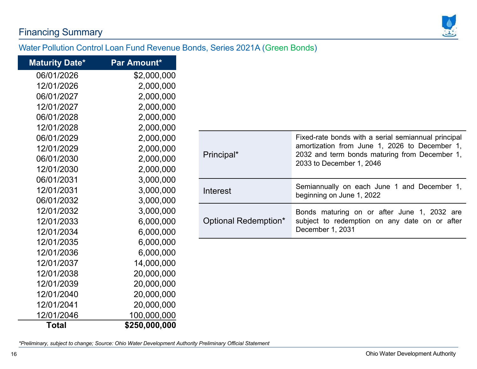# Financing Summary



### Water Pollution Control Loan Fund Revenue Bonds, Series 2021A (Green Bonds)

| <b>Maturity Date*</b> | Par Amount*   |
|-----------------------|---------------|
| 06/01/2026            | \$2,000,000   |
| 12/01/2026            | 2,000,000     |
| 06/01/2027            | 2,000,000     |
| 12/01/2027            | 2,000,000     |
| 06/01/2028            | 2,000,000     |
| 12/01/2028            | 2,000,000     |
| 06/01/2029            | 2,000,000     |
| 12/01/2029            | 2,000,000     |
| 06/01/2030            | 2,000,000     |
| 12/01/2030            | 2,000,000     |
| 06/01/2031            | 3,000,000     |
| 12/01/2031            | 3,000,000     |
| 06/01/2032            | 3,000,000     |
| 12/01/2032            | 3,000,000     |
| 12/01/2033            | 6,000,000     |
| 12/01/2034            | 6,000,000     |
| 12/01/2035            | 6,000,000     |
| 12/01/2036            | 6,000,000     |
| 12/01/2037            | 14,000,000    |
| 12/01/2038            | 20,000,000    |
| 12/01/2039            | 20,000,000    |
| 12/01/2040            | 20,000,000    |
| 12/01/2041            | 20,000,000    |
| 12/01/2046            | 100,000,000   |
| Total                 | \$250,000,000 |

| Principal*           | Fixed-rate bonds with a serial semiannual principal<br>amortization from June 1, 2026 to December 1,<br>2032 and term bonds maturing from December 1,<br>2033 to December 1, 2046 |
|----------------------|-----------------------------------------------------------------------------------------------------------------------------------------------------------------------------------|
| Interest             | Semiannually on each June 1 and December 1,<br>beginning on June 1, 2022                                                                                                          |
| Optional Redemption* | Bonds maturing on or after June 1, 2032 are<br>subject to redemption on any date on or after<br>December 1, 2031                                                                  |

*\*Preliminary, subject to change; Source: Ohio Water Development Authority Preliminary Official Statement*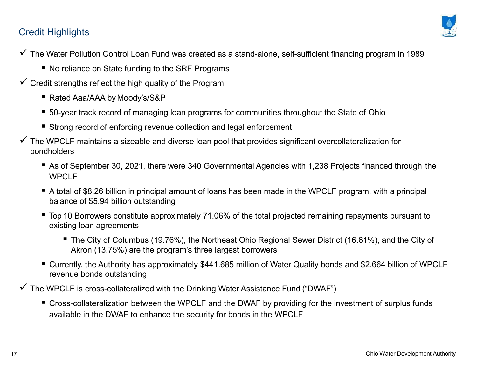# Credit Highlights



- The Water Pollution Control Loan Fund was created as a stand-alone, self-sufficient financing program in 1989
	- $\;\blacksquare\;$  No reliance on State funding to the SRF Programs
- $\checkmark$  Credit strengths reflect the high quality of the Program
	- Rated Aaa/AAA by Moody's/S&P
	- 50-year track record of managing loan programs for communities throughout the State of Ohio
	- Strong record of enforcing revenue collection and legal enforcement
- $\checkmark$  The WPCLF maintains a sizeable and diverse loan pool that provides significant overcollateralization for bondholders
	- As of September 30, 2021, there were 340 Governmental Agencies with 1,238 Projects financed through the WPCLF
	- A total of \$8.26 billion in principal amount of loans has been made in the WPCLF program, with a principal balance of \$5.94 billion outstanding
	- Top 10 Borrowers constitute approximately 71.06% of the total projected remaining repayments pursuant to existing loan agreements
		- The City of Columbus (19.76%), the Northeast Ohio Regional Sewer District (16.61%), and the City of Akron (13.75%) are the program's three largest borrowers
	- Currently, the Authority has approximately \$441.685 million of Water Quality bonds and \$2.664 billion of WPCLF revenue bonds outstanding
- $\checkmark$  The WPCLF is cross-collateralized with the Drinking Water Assistance Fund ("DWAF")
	- Cross-collateralization between the WPCLF and the DWAF by providing for the investment of surplus funds available in the DWAF to enhance the security for bonds in the WPCLF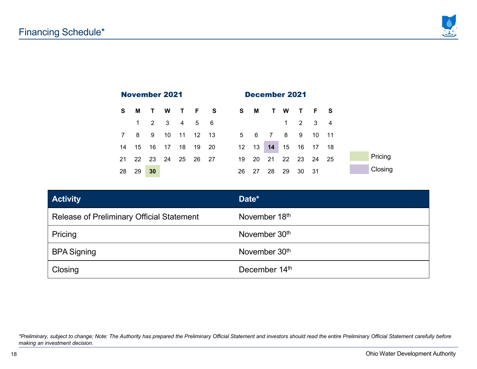



| <b>Activity</b>                                  | Date*                     |
|--------------------------------------------------|---------------------------|
| <b>Release of Preliminary Official Statement</b> | November 18th             |
| Pricing                                          | November 30 <sup>th</sup> |
| <b>BPA Signing</b>                               | November 30 <sup>th</sup> |
| Closing                                          | December 14th             |

*\*Preliminary, subject to change; Note: The Authority has prepared the Preliminary Official Statement and investors should read the entire Preliminary Official Statement carefully before making an investment decision.*